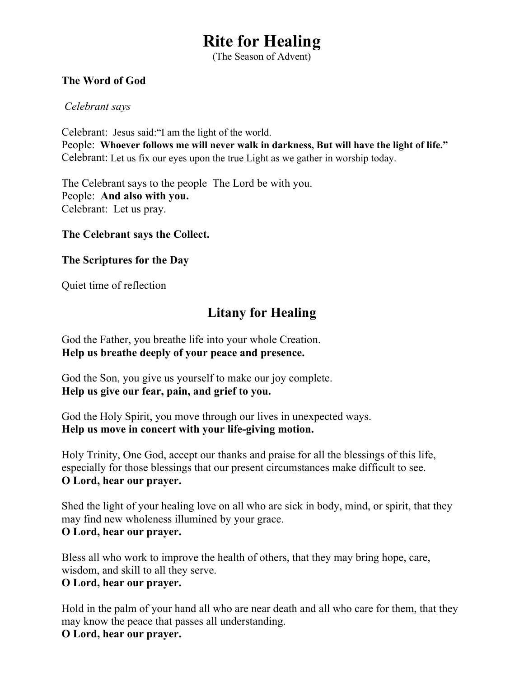# **Rite for Healing**

(The Season of Advent)

#### **The Word of God**

#### *Celebrant says*

Celebrant: Jesus said:"I am the light of the world. People: **Whoever follows me will never walk in darkness, But will have the light of life."** Celebrant: Let us fix our eyes upon the true Light as we gather in worship today.

The Celebrant says to the people The Lord be with you. People: **And also with you.** Celebrant: Let us pray.

#### **The Celebrant says the Collect.**

#### **The Scriptures for the Day**

Quiet time of reflection

## **Litany for Healing**

God the Father, you breathe life into your whole Creation. **Help us breathe deeply of your peace and presence.**

God the Son, you give us yourself to make our joy complete. **Help us give our fear, pain, and grief to you.**

God the Holy Spirit, you move through our lives in unexpected ways. **Help us move in concert with your life-giving motion.**

Holy Trinity, One God, accept our thanks and praise for all the blessings of this life, especially for those blessings that our present circumstances make difficult to see. **O Lord, hear our prayer.**

Shed the light of your healing love on all who are sick in body, mind, or spirit, that they may find new wholeness illumined by your grace. **O Lord, hear our prayer.**

Bless all who work to improve the health of others, that they may bring hope, care, wisdom, and skill to all they serve.

#### **O Lord, hear our prayer.**

Hold in the palm of your hand all who are near death and all who care for them, that they may know the peace that passes all understanding.

#### **O Lord, hear our prayer.**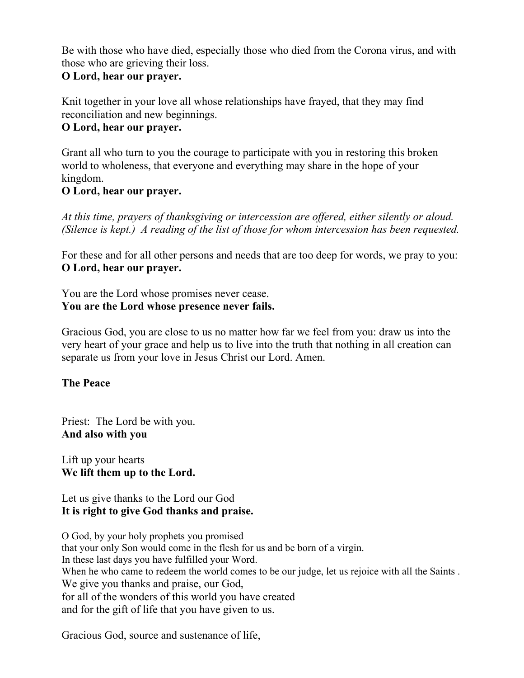Be with those who have died, especially those who died from the Corona virus, and with those who are grieving their loss.

#### **O Lord, hear our prayer.**

Knit together in your love all whose relationships have frayed, that they may find reconciliation and new beginnings.

#### **O Lord, hear our prayer.**

Grant all who turn to you the courage to participate with you in restoring this broken world to wholeness, that everyone and everything may share in the hope of your kingdom.

#### **O Lord, hear our prayer.**

*At this time, prayers of thanksgiving or intercession are offered, either silently or aloud. (Silence is kept.) A reading of the list of those for whom intercession has been requested.*

For these and for all other persons and needs that are too deep for words, we pray to you: **O Lord, hear our prayer.**

You are the Lord whose promises never cease. **You are the Lord whose presence never fails.**

Gracious God, you are close to us no matter how far we feel from you: draw us into the very heart of your grace and help us to live into the truth that nothing in all creation can separate us from your love in Jesus Christ our Lord. Amen.

### **The Peace**

Priest: The Lord be with you. **And also with you**

Lift up your hearts **We lift them up to the Lord.**

Let us give thanks to the Lord our God **It is right to give God thanks and praise.**

O God, by your holy prophets you promised that your only Son would come in the flesh for us and be born of a virgin. In these last days you have fulfilled your Word. When he who came to redeem the world comes to be our judge, let us rejoice with all the Saints. We give you thanks and praise, our God, for all of the wonders of this world you have created and for the gift of life that you have given to us.

Gracious God, source and sustenance of life,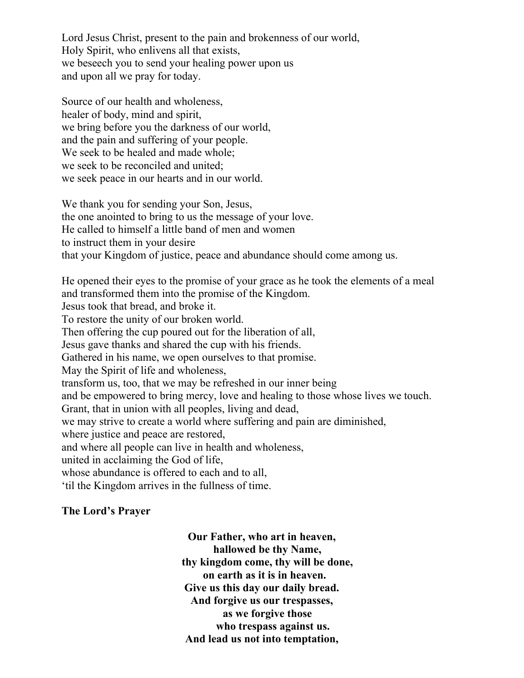Lord Jesus Christ, present to the pain and brokenness of our world, Holy Spirit, who enlivens all that exists, we beseech you to send your healing power upon us and upon all we pray for today.

Source of our health and wholeness, healer of body, mind and spirit, we bring before you the darkness of our world, and the pain and suffering of your people. We seek to be healed and made whole; we seek to be reconciled and united; we seek peace in our hearts and in our world.

We thank you for sending your Son, Jesus, the one anointed to bring to us the message of your love. He called to himself a little band of men and women to instruct them in your desire that your Kingdom of justice, peace and abundance should come among us.

He opened their eyes to the promise of your grace as he took the elements of a meal and transformed them into the promise of the Kingdom. Jesus took that bread, and broke it. To restore the unity of our broken world. Then offering the cup poured out for the liberation of all, Jesus gave thanks and shared the cup with his friends. Gathered in his name, we open ourselves to that promise. May the Spirit of life and wholeness, transform us, too, that we may be refreshed in our inner being and be empowered to bring mercy, love and healing to those whose lives we touch. Grant, that in union with all peoples, living and dead, we may strive to create a world where suffering and pain are diminished, where justice and peace are restored, and where all people can live in health and wholeness, united in acclaiming the God of life, whose abundance is offered to each and to all. 'til the Kingdom arrives in the fullness of time.

#### **The Lord's Prayer**

**Our Father, who art in heaven, hallowed be thy Name, thy kingdom come, thy will be done, on earth as it is in heaven. Give us this day our daily bread. And forgive us our trespasses, as we forgive those who trespass against us. And lead us not into temptation,**